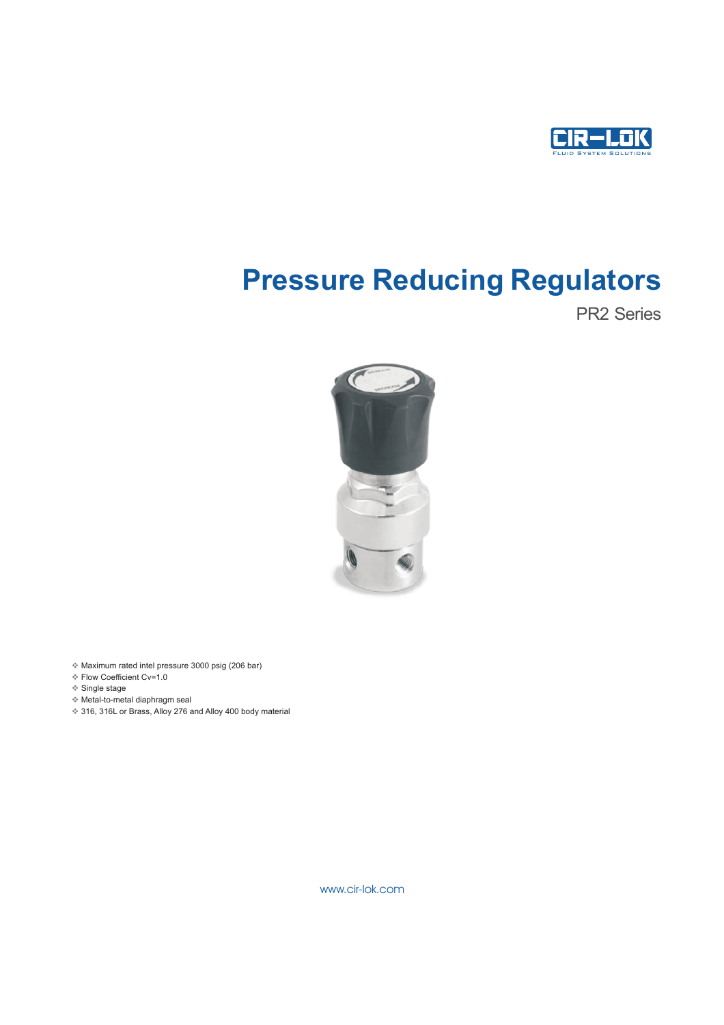

# Pressure Reducing Regulators

PR2 Series



v Maximum rated intel pressure 3000 psig (206 bar)

- v Flow Coefficient Cv=1.0
- v Single stage
- v Metal-to-metal diaphragm seal
- ◆ 316, 316L or Brass, Alloy 276 and Alloy 400 body material

www.cir-lok.com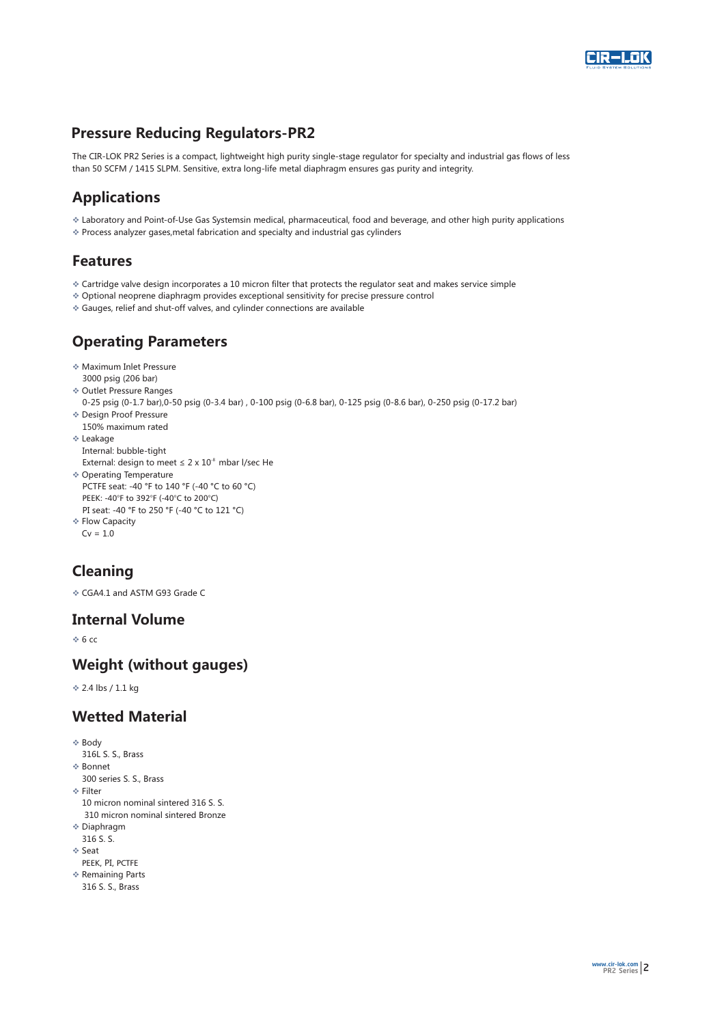

## Pressure Reducing Regulators-PR2

The CIR-LOK PR2 Series is a compact, lightweight high purity single-stage regulator for specialty and industrial gas flows of less than 50 SCFM / 1415 SLPM. Sensitive, extra long-life metal diaphragm ensures gas purity and integrity.

## Applications

- v Laboratory and Point-of-Use Gas Systemsin medical, pharmaceutical, food and beverage, and other high purity applications
- v Process analyzer gases,metal fabrication and specialty and industrial gas cylinders

#### Featur es

- $\bullet$  Cartridge valve design incorporates a 10 micron filter that protects the regulator seat and makes service simple
- v Optional neoprene diaphragm provides exceptional sensitivity for precise pressure control
- v Gauges, relief and shut-off valves, and cylinder connections are available

## Operating Parameters

- vMaximum Inlet Pressure 3000 psig (206 bar)
- v Outlet Pressure Ranges
- 0-25 psig (0-1.7 bar),0-50 psig (0-3.4 bar) , 0-100 psig (0-6.8 bar), 0-125 psig (0-8.6 bar), 0-250 psig (0-17.2 bar)
- v Design Proof Pressure
- 150% maximum rated
- v Leakage Internal: bubble-tight
- External: design to meet  $\leq 2 \times 10^{-8}$  mbar l/sec He
- ◆ Operating Temperature PCTFE seat: -40 °F to 140 °F (-40 °C to 60 °C) PEEK: -40°F to 392°F (-40°C to 200°C) PI seat: -40 °F to 250 °F (-40 °C to 121 °C)
- ❖ Flow Capacity
- $Cv = 1.0$

## Cleaning

vCGA4.1 and ASTM G93 Grade C

#### Int ernal Volume

 $\div$  6 cc

#### W eight (without gauges)

v 2.4 lbs / 1.1 kg

## Wetted Material

- $\triangle$  Body 316L S. S., Brass ❖ Bonnet 300 series S. S., Brass  $\Leftrightarrow$  Filter 10 micron nominal sintered 316 S. S. ❖ Diaphragm 310 micron nominal sintered Bronze 316 S. S. ❖ Seat ❖ Remaining Parts PEEK, PI, PCTFF
- 316 S. S., Brass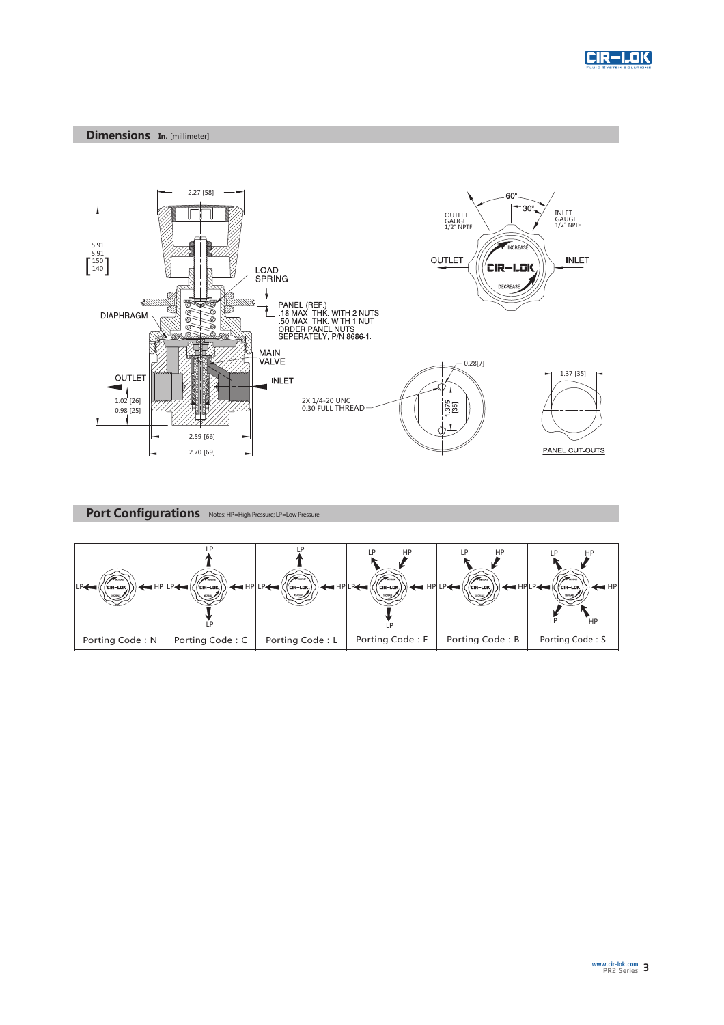

#### Dimensions In. [millimeter]



## Port Configurations Notes: HP=High Pressure; LP=Low Pressure

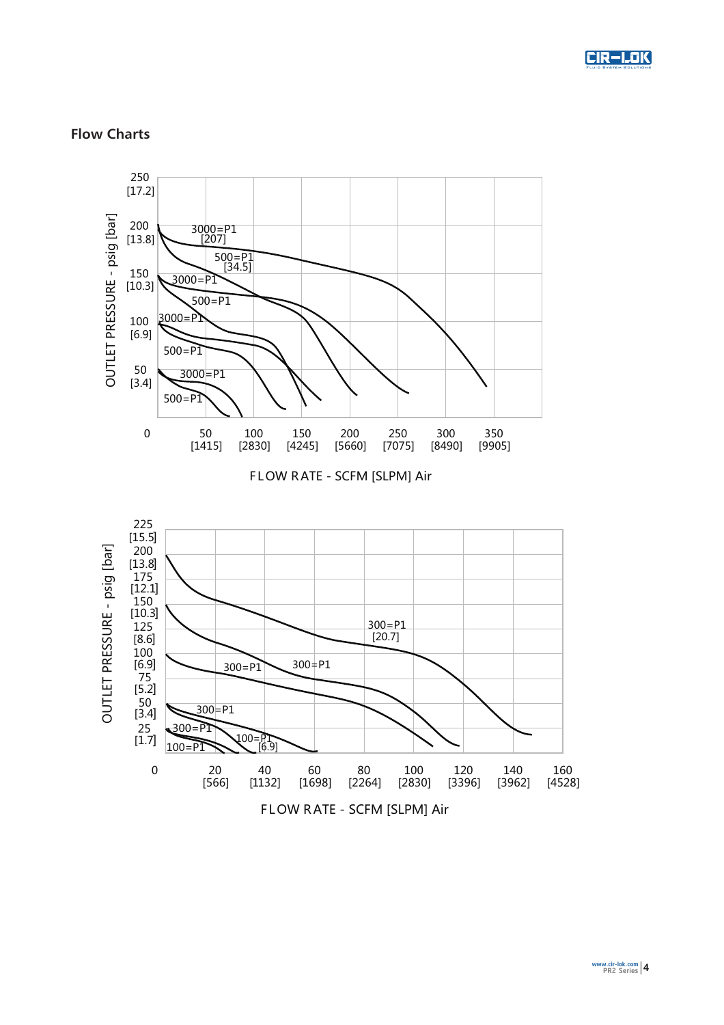

#### Flow Charts